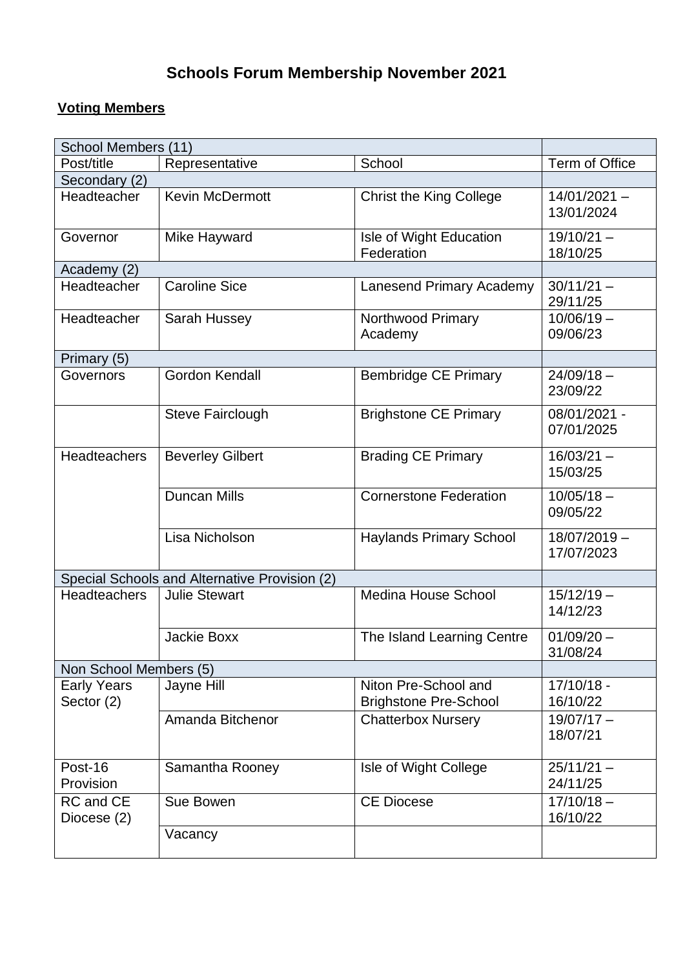## **Schools Forum Membership November 2021**

## **Voting Members**

| School Members (11)                           |                         |                                                      |                              |  |
|-----------------------------------------------|-------------------------|------------------------------------------------------|------------------------------|--|
| Post/title                                    | Representative          | School                                               | Term of Office               |  |
| Secondary (2)                                 |                         |                                                      |                              |  |
| Headteacher                                   | <b>Kevin McDermott</b>  | <b>Christ the King College</b>                       | $14/01/2021 -$<br>13/01/2024 |  |
| Governor                                      | Mike Hayward            | Isle of Wight Education<br>Federation                | $19/10/21 -$<br>18/10/25     |  |
| Academy (2)                                   |                         |                                                      |                              |  |
| Headteacher                                   | <b>Caroline Sice</b>    | <b>Lanesend Primary Academy</b>                      | $30/11/21 -$<br>29/11/25     |  |
| Headteacher                                   | Sarah Hussey            | Northwood Primary<br>Academy                         | $10/06/19 -$<br>09/06/23     |  |
| Primary (5)                                   |                         |                                                      |                              |  |
| Governors                                     | <b>Gordon Kendall</b>   | <b>Bembridge CE Primary</b>                          | $24/09/18 -$<br>23/09/22     |  |
|                                               | <b>Steve Fairclough</b> | <b>Brighstone CE Primary</b>                         | 08/01/2021 -<br>07/01/2025   |  |
| <b>Headteachers</b>                           | <b>Beverley Gilbert</b> | <b>Brading CE Primary</b>                            | $16/03/21 -$<br>15/03/25     |  |
|                                               | <b>Duncan Mills</b>     | <b>Cornerstone Federation</b>                        | $10/05/18 -$<br>09/05/22     |  |
|                                               | Lisa Nicholson          | <b>Haylands Primary School</b>                       | $18/07/2019 -$<br>17/07/2023 |  |
| Special Schools and Alternative Provision (2) |                         |                                                      |                              |  |
| <b>Headteachers</b>                           | <b>Julie Stewart</b>    | <b>Medina House School</b>                           | $15/12/19 -$<br>14/12/23     |  |
|                                               | <b>Jackie Boxx</b>      | The Island Learning Centre                           | $01/09/20 -$<br>31/08/24     |  |
| Non School Members (5)                        |                         |                                                      |                              |  |
| <b>Early Years</b><br>Sector (2)              | Jayne Hill              | Niton Pre-School and<br><b>Brighstone Pre-School</b> | $17/10/18 -$<br>16/10/22     |  |
|                                               | Amanda Bitchenor        | <b>Chatterbox Nursery</b>                            | $19/07/17 -$<br>18/07/21     |  |
| Post-16<br>Provision                          | Samantha Rooney         | Isle of Wight College                                | $25/11/21 -$<br>24/11/25     |  |
| RC and CE<br>Diocese (2)                      | Sue Bowen               | <b>CE Diocese</b>                                    | $17/10/18 -$<br>16/10/22     |  |
|                                               | Vacancy                 |                                                      |                              |  |